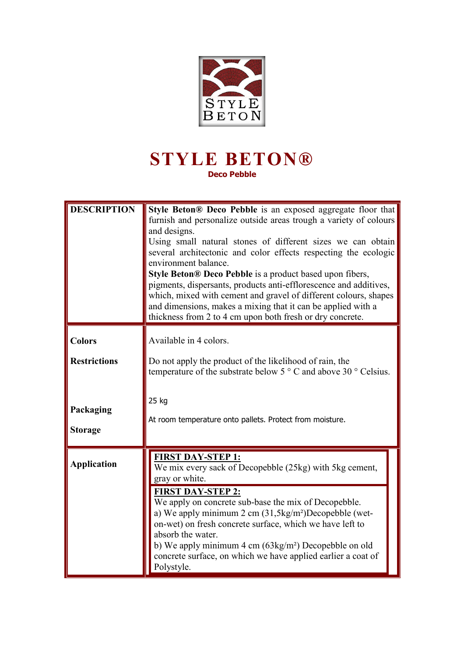

## **STYLE BETON® Deco Pebble**

| <b>DESCRIPTION</b>                                                  | Style Beton <sup>®</sup> Deco Pebble is an exposed aggregate floor that<br>furnish and personalize outside areas trough a variety of colours<br>and designs.<br>Using small natural stones of different sizes we can obtain<br>several architectonic and color effects respecting the ecologic<br>environment balance.<br>Style Beton® Deco Pebble is a product based upon fibers,<br>pigments, dispersants, products anti-efflorescence and additives,<br>which, mixed with cement and gravel of different colours, shapes<br>and dimensions, makes a mixing that it can be applied with a<br>thickness from 2 to 4 cm upon both fresh or dry concrete. |  |
|---------------------------------------------------------------------|----------------------------------------------------------------------------------------------------------------------------------------------------------------------------------------------------------------------------------------------------------------------------------------------------------------------------------------------------------------------------------------------------------------------------------------------------------------------------------------------------------------------------------------------------------------------------------------------------------------------------------------------------------|--|
| <b>Colors</b><br><b>Restrictions</b><br>Packaging<br><b>Storage</b> | Available in 4 colors.<br>Do not apply the product of the likelihood of rain, the<br>temperature of the substrate below $5^{\circ}$ C and above 30 $^{\circ}$ Celsius.<br>25 kg<br>At room temperature onto pallets. Protect from moisture.                                                                                                                                                                                                                                                                                                                                                                                                              |  |
| <b>Application</b>                                                  | <b>FIRST DAY-STEP 1:</b><br>We mix every sack of Decopebble (25kg) with 5kg cement,<br>gray or white.<br><b>FIRST DAY-STEP 2:</b><br>We apply on concrete sub-base the mix of Decopebble.<br>a) We apply minimum $2 \text{ cm } (31,5 \text{kg/m}^2)$ Decopebble (wet-<br>on-wet) on fresh concrete surface, which we have left to<br>absorb the water.<br>b) We apply minimum $4 \text{ cm } (63 \text{kg/m}^2)$ Decopebble on old<br>concrete surface, on which we have applied earlier a coat of<br>Polystyle.                                                                                                                                        |  |